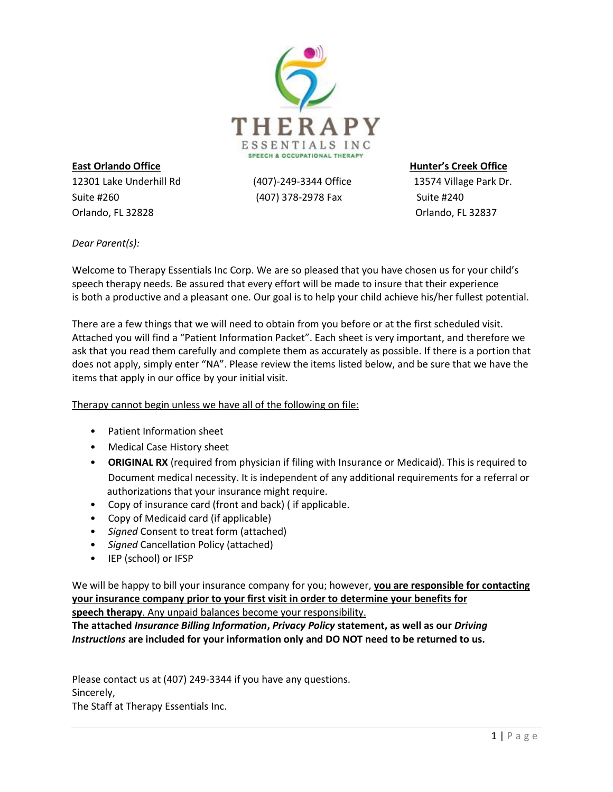

12301 Lake Underhill Rd (407)-249-3344 Office 13574 Village Park Dr. Suite #260 **Suite #260** (407) 378-2978 Fax Suite #240 Orlando, FL 32828 Orlando, FL 32837

**East Orlando Office Hunter's Creek Office**

*Dear Parent(s):*

Welcome to Therapy Essentials Inc Corp. We are so pleased that you have chosen us for your child's speech therapy needs. Be assured that every effort will be made to insure that their experience is both a productive and a pleasant one. Our goal is to help your child achieve his/her fullest potential.

There are a few things that we will need to obtain from you before or at the first scheduled visit. Attached you will find a "Patient Information Packet". Each sheet is very important, and therefore we ask that you read them carefully and complete them as accurately as possible. If there is a portion that does not apply, simply enter "NA". Please review the items listed below, and be sure that we have the items that apply in our office by your initial visit.

Therapy cannot begin unless we have all of the following on file:

- Patient Information sheet
- Medical Case History sheet
- **ORIGINAL RX** (required from physician if filing with Insurance or Medicaid). This is required to Document medical necessity. It is independent of any additional requirements for a referral or authorizations that your insurance might require.
- Copy of insurance card (front and back) ( if applicable.
- Copy of Medicaid card (if applicable)
- *Signed* Consent to treat form (attached)
- *Signed* Cancellation Policy (attached)
- IEP (school) or IFSP

We will be happy to bill your insurance company for you; however, **you are responsible for contacting your insurance company prior to your first visit in order to determine your benefits for speech therapy**. Any unpaid balances become your responsibility.

**The attached** *Insurance Billing Information***,** *Privacy Policy* **statement, as well as our** *Driving Instructions* **are included for your information only and DO NOT need to be returned to us.**

Please contact us at (407) 249-3344 if you have any questions. Sincerely, The Staff at Therapy Essentials Inc.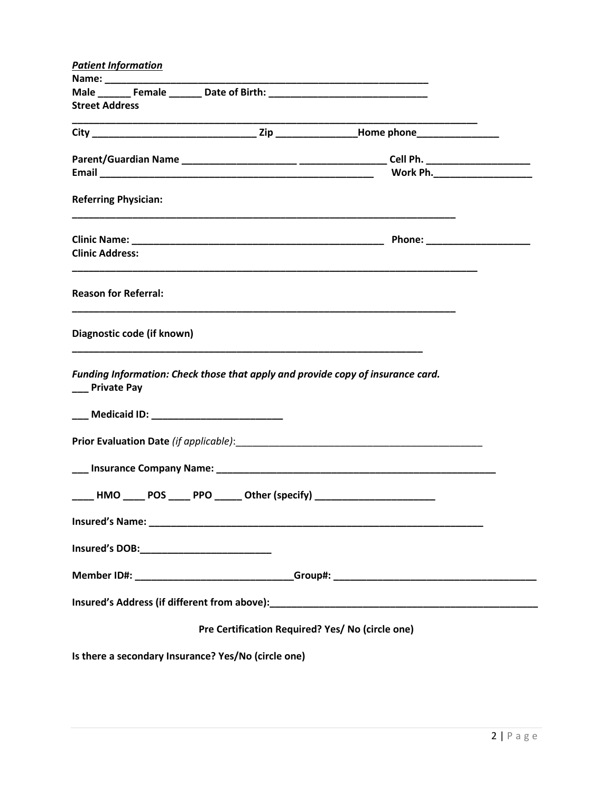| <b>Patient Information</b>                          |                                                                                  |                                                                                                                                                                                                                                |
|-----------------------------------------------------|----------------------------------------------------------------------------------|--------------------------------------------------------------------------------------------------------------------------------------------------------------------------------------------------------------------------------|
|                                                     |                                                                                  |                                                                                                                                                                                                                                |
| <b>Street Address</b>                               |                                                                                  |                                                                                                                                                                                                                                |
|                                                     |                                                                                  |                                                                                                                                                                                                                                |
|                                                     |                                                                                  |                                                                                                                                                                                                                                |
|                                                     |                                                                                  |                                                                                                                                                                                                                                |
| <b>Referring Physician:</b>                         |                                                                                  |                                                                                                                                                                                                                                |
|                                                     |                                                                                  |                                                                                                                                                                                                                                |
| <b>Clinic Address:</b>                              |                                                                                  |                                                                                                                                                                                                                                |
| <b>Reason for Referral:</b>                         |                                                                                  |                                                                                                                                                                                                                                |
| Diagnostic code (if known)                          |                                                                                  |                                                                                                                                                                                                                                |
| __ Private Pay                                      | Funding Information: Check those that apply and provide copy of insurance card.  |                                                                                                                                                                                                                                |
| ___ Medicaid ID: _________________________          |                                                                                  |                                                                                                                                                                                                                                |
|                                                     |                                                                                  |                                                                                                                                                                                                                                |
|                                                     |                                                                                  |                                                                                                                                                                                                                                |
|                                                     | _____HMO _____ POS _____ PPO ______ Other (specify) ____________________________ |                                                                                                                                                                                                                                |
|                                                     |                                                                                  |                                                                                                                                                                                                                                |
|                                                     |                                                                                  |                                                                                                                                                                                                                                |
|                                                     |                                                                                  | Member ID#: ________________________________Group#: _____________________________                                                                                                                                              |
|                                                     |                                                                                  | Insured's Address (if different from above): Notice and the set of the set of the set of the set of the set of the set of the set of the set of the set of the set of the set of the set of the set of the set of the set of t |
|                                                     | Pre Certification Required? Yes/ No (circle one)                                 |                                                                                                                                                                                                                                |
| Is there a secondary Insurance? Yes/No (circle one) |                                                                                  |                                                                                                                                                                                                                                |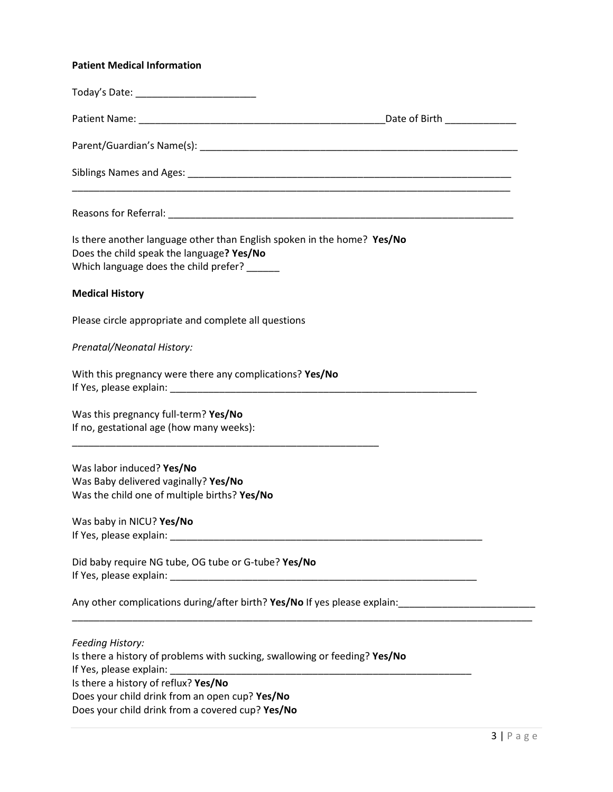## **Patient Medical Information**

| Is there another language other than English spoken in the home? Yes/No<br>Does the child speak the language? Yes/No<br>Which language does the child prefer? ______                                                                                       |  |
|------------------------------------------------------------------------------------------------------------------------------------------------------------------------------------------------------------------------------------------------------------|--|
| <b>Medical History</b>                                                                                                                                                                                                                                     |  |
| Please circle appropriate and complete all questions                                                                                                                                                                                                       |  |
| Prenatal/Neonatal History:                                                                                                                                                                                                                                 |  |
| With this pregnancy were there any complications? Yes/No                                                                                                                                                                                                   |  |
| Was this pregnancy full-term? Yes/No<br>If no, gestational age (how many weeks):                                                                                                                                                                           |  |
| Was labor induced? Yes/No<br>Was Baby delivered vaginally? Yes/No<br>Was the child one of multiple births? Yes/No                                                                                                                                          |  |
| Was baby in NICU? Yes/No<br>If Yes, please explain: Note and the set of the set of the set of the set of the set of the set of the set of the set of the set of the set of the set of the set of the set of the set of the set of the set of the set of th |  |
| Did baby require NG tube, OG tube or G-tube? Yes/No                                                                                                                                                                                                        |  |
| Any other complications during/after birth? Yes/No If yes please explain: 100000000000000000000000000000000000                                                                                                                                             |  |
| <b>Feeding History:</b><br>Is there a history of problems with sucking, swallowing or feeding? Yes/No<br>Is there a history of reflux? Yes/No                                                                                                              |  |
| Does your child drink from an open cup? Yes/No<br>Does your child drink from a covered cup? Yes/No                                                                                                                                                         |  |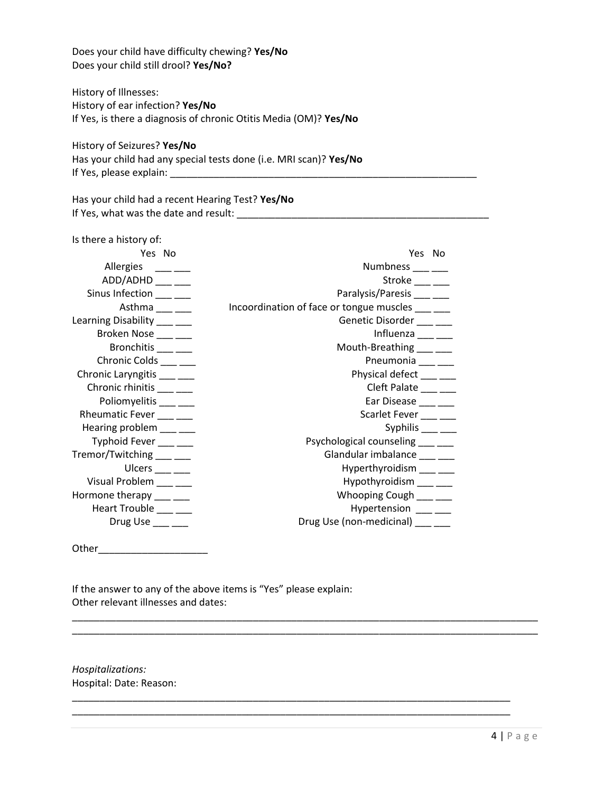Does your child have difficulty chewing? **Yes/No** Does your child still drool? **Yes/No?**

History of Illnesses: History of ear infection? **Yes/No** If Yes, is there a diagnosis of chronic Otitis Media (OM)? **Yes/No**

History of Seizures? **Yes/No**

Has your child had any special tests done (i.e. MRI scan)? **Yes/No** If Yes, please explain: \_\_\_\_\_\_\_\_\_\_\_\_\_\_\_\_\_\_\_\_\_\_\_\_\_\_\_\_\_\_\_\_\_\_\_\_\_\_\_\_\_\_\_\_\_\_\_\_\_\_\_\_\_\_\_\_

Has your child had a recent Hearing Test? **Yes/No** If Yes, what was the date and result: \_\_\_\_\_\_\_\_\_\_\_\_\_\_\_\_\_\_\_\_\_\_\_\_\_\_\_\_\_\_\_\_\_\_\_\_\_\_\_\_\_\_\_\_\_\_

| Is there a history of:       |                                          |
|------------------------------|------------------------------------------|
| Yes No                       | Yes No                                   |
| Allergies ___ __             | Numbness ____ ___                        |
| ADD/ADHD ___ __              | Stroke $\_\_\_\_\_\_\_\_\$               |
| Sinus Infection ___ __       | Paralysis/Paresis                        |
| Asthma $\frac{1}{1}$         | Incoordination of face or tongue muscles |
| Learning Disability ___ __   | Genetic Disorder ___ ___                 |
| Broken Nose ___ __           | Influenza $\frac{\ }{2}$                 |
| Bronchitis ___ __            | Mouth-Breathing ___ ___                  |
| Chronic Colds ___ __         | Pneumonia ___ __                         |
| Chronic Laryngitis ___ __    | Physical defect ___ __                   |
| Chronic rhinitis ___ __      | Cleft Palate _____                       |
| Poliomyelitis ___ __         | Ear Disease ___ __                       |
| Rheumatic Fever              | Scarlet Fever ___ __                     |
| Hearing problem ___ __       | Syphilis $\frac{\ }{\ }$                 |
| Typhoid Fever ___ ___        | Psychological counseling ___ __          |
| Tremor/Twitching ___ __      | Glandular imbalance ___ __               |
| Ulcers $\frac{\ }{\ }$       | Hyperthyroidism ___ __                   |
| Visual Problem ___ __        | Hypothyroidism ___ __                    |
| Hormone therapy ___ __       | Whooping Cough ____ ___                  |
| Heart Trouble ___ __         | Hypertension ___ __                      |
| Drug Use $\_\_\_\_\_\_\_\_\$ | Drug Use (non-medicinal) _____           |

\_\_\_\_\_\_\_\_\_\_\_\_\_\_\_\_\_\_\_\_\_\_\_\_\_\_\_\_\_\_\_\_\_\_\_\_\_\_\_\_\_\_\_\_\_\_\_\_\_\_\_\_\_\_\_\_\_\_\_\_\_\_\_\_\_\_\_\_\_\_\_\_\_\_\_\_\_\_\_\_\_\_\_\_\_ \_\_\_\_\_\_\_\_\_\_\_\_\_\_\_\_\_\_\_\_\_\_\_\_\_\_\_\_\_\_\_\_\_\_\_\_\_\_\_\_\_\_\_\_\_\_\_\_\_\_\_\_\_\_\_\_\_\_\_\_\_\_\_\_\_\_\_\_\_\_\_\_\_\_\_\_\_\_\_\_\_\_\_\_\_

\_\_\_\_\_\_\_\_\_\_\_\_\_\_\_\_\_\_\_\_\_\_\_\_\_\_\_\_\_\_\_\_\_\_\_\_\_\_\_\_\_\_\_\_\_\_\_\_\_\_\_\_\_\_\_\_\_\_\_\_\_\_\_\_\_\_\_\_\_\_\_\_\_\_\_\_\_\_\_\_ \_\_\_\_\_\_\_\_\_\_\_\_\_\_\_\_\_\_\_\_\_\_\_\_\_\_\_\_\_\_\_\_\_\_\_\_\_\_\_\_\_\_\_\_\_\_\_\_\_\_\_\_\_\_\_\_\_\_\_\_\_\_\_\_\_\_\_\_\_\_\_\_\_\_\_\_\_\_\_\_

Other\_\_\_\_\_\_\_\_\_\_\_\_\_\_\_\_\_\_\_\_

If the answer to any of the above items is "Yes" please explain: Other relevant illnesses and dates:

*Hospitalizations:* Hospital: Date: Reason: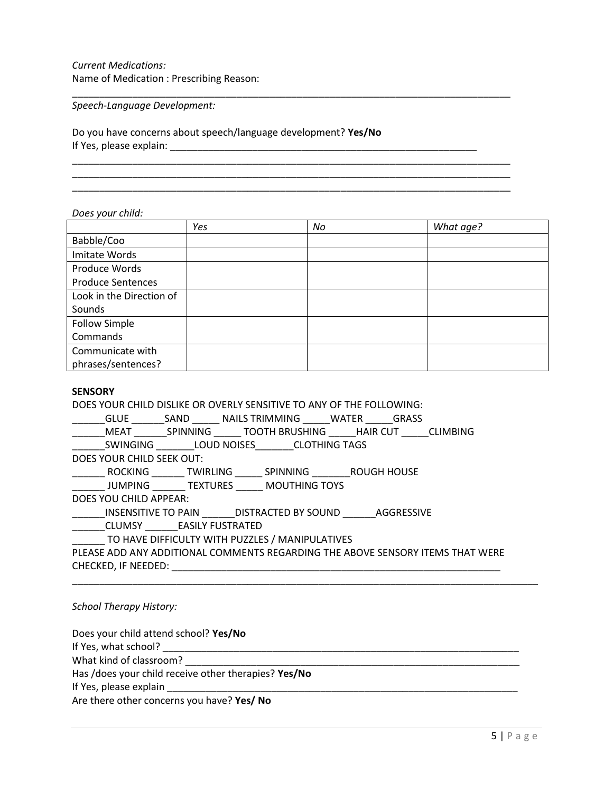# *Current Medications:* Name of Medication : Prescribing Reason:

*Speech-Language Development:*

Do you have concerns about speech/language development? **Yes/No** If Yes, please explain: \_\_\_\_\_\_\_\_\_\_\_\_\_\_\_\_\_\_\_\_\_\_\_\_\_\_\_\_\_\_\_\_\_\_\_\_\_\_\_\_\_\_\_\_\_\_\_\_\_\_\_\_\_\_\_\_

*Does your child:*

|                          | Yes | No | What age? |
|--------------------------|-----|----|-----------|
| Babble/Coo               |     |    |           |
| Imitate Words            |     |    |           |
| Produce Words            |     |    |           |
| <b>Produce Sentences</b> |     |    |           |
| Look in the Direction of |     |    |           |
| Sounds                   |     |    |           |
| <b>Follow Simple</b>     |     |    |           |
| Commands                 |     |    |           |
| Communicate with         |     |    |           |
| phrases/sentences?       |     |    |           |

\_\_\_\_\_\_\_\_\_\_\_\_\_\_\_\_\_\_\_\_\_\_\_\_\_\_\_\_\_\_\_\_\_\_\_\_\_\_\_\_\_\_\_\_\_\_\_\_\_\_\_\_\_\_\_\_\_\_\_\_\_\_\_\_\_\_\_\_\_\_\_\_\_\_\_\_\_\_\_\_

\_\_\_\_\_\_\_\_\_\_\_\_\_\_\_\_\_\_\_\_\_\_\_\_\_\_\_\_\_\_\_\_\_\_\_\_\_\_\_\_\_\_\_\_\_\_\_\_\_\_\_\_\_\_\_\_\_\_\_\_\_\_\_\_\_\_\_\_\_\_\_\_\_\_\_\_\_\_\_\_ \_\_\_\_\_\_\_\_\_\_\_\_\_\_\_\_\_\_\_\_\_\_\_\_\_\_\_\_\_\_\_\_\_\_\_\_\_\_\_\_\_\_\_\_\_\_\_\_\_\_\_\_\_\_\_\_\_\_\_\_\_\_\_\_\_\_\_\_\_\_\_\_\_\_\_\_\_\_\_\_ \_\_\_\_\_\_\_\_\_\_\_\_\_\_\_\_\_\_\_\_\_\_\_\_\_\_\_\_\_\_\_\_\_\_\_\_\_\_\_\_\_\_\_\_\_\_\_\_\_\_\_\_\_\_\_\_\_\_\_\_\_\_\_\_\_\_\_\_\_\_\_\_\_\_\_\_\_\_\_\_

## **SENSORY**

DOES YOUR CHILD DISLIKE OR OVERLY SENSITIVE TO ANY OF THE FOLLOWING:

| <b>GLUE</b>               | SAND            | NAILS TRIMMING |                      | WATER                | <b>GRASS</b> |                 |
|---------------------------|-----------------|----------------|----------------------|----------------------|--------------|-----------------|
| <b>MEAT</b>               | <b>SPINNING</b> |                | TOOTH BRUSHING       | <b>HAIR CUT</b>      |              | <b>CLIMBING</b> |
| <b>SWINGING</b>           |                 | LOUD NOISES    |                      | <b>CLOTHING TAGS</b> |              |                 |
| DOES YOUR CHILD SEEK OUT: |                 |                |                      |                      |              |                 |
| <b>ROCKING</b>            | TWIRLING        |                | <b>SPINNING</b>      |                      | ROUGH HOUSE  |                 |
| JUMPING                   | TEXTURES        |                | <b>MOUTHING TOYS</b> |                      |              |                 |

DOES YOU CHILD APPEAR:

\_\_\_\_\_\_INSENSITIVE TO PAIN \_\_\_\_\_\_DISTRACTED BY SOUND \_\_\_\_\_\_AGGRESSIVE

\_\_\_\_\_\_CLUMSY \_\_\_\_\_\_EASILY FUSTRATED

\_\_\_\_\_\_ TO HAVE DIFFICULTY WITH PUZZLES / MANIPULATIVES

PLEASE ADD ANY ADDITIONAL COMMENTS REGARDING THE ABOVE SENSORY ITEMS THAT WERE CHECKED, IF NEEDED: \_\_\_\_\_\_\_\_\_\_\_\_\_\_\_\_\_\_\_\_\_\_\_\_\_\_\_\_\_\_\_\_\_\_\_\_\_\_\_\_\_\_\_\_\_\_\_\_\_\_\_\_\_\_\_\_\_\_\_\_

\_\_\_\_\_\_\_\_\_\_\_\_\_\_\_\_\_\_\_\_\_\_\_\_\_\_\_\_\_\_\_\_\_\_\_\_\_\_\_\_\_\_\_\_\_\_\_\_\_\_\_\_\_\_\_\_\_\_\_\_\_\_\_\_\_\_\_\_\_\_\_\_\_\_\_\_\_\_\_\_\_\_\_\_\_

### *School Therapy History:*

Does your child attend school? **Yes/No**

If Yes, what school? \_\_\_\_\_\_\_\_\_\_\_\_\_\_\_\_\_\_\_\_\_\_\_\_\_\_\_\_\_\_\_\_\_\_\_\_\_\_\_\_\_\_\_\_\_\_\_\_\_\_\_\_\_\_\_\_\_\_\_\_\_\_\_\_\_

What kind of classroom? What kind of classroom?

Has /does your child receive other therapies? **Yes/No**

If Yes, please explain

Are there other concerns you have? **Yes/ No**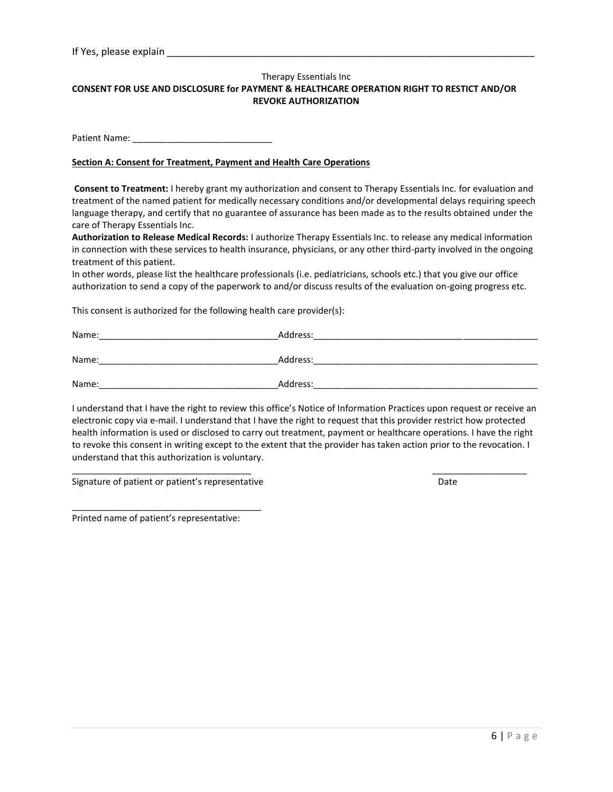### Therapy Essentials Inc **CONSENT FOR USE AND DISCLOSURE for PAYMENT & HEALTHCARE OPERATION RIGHT TO RESTICT AND/OR REVOKE AUTHORIZATION**

Patient Name: \_\_\_\_\_\_\_\_\_\_\_\_\_\_\_\_\_\_\_\_\_\_\_\_\_\_\_\_

### **Section A: Consent for Treatment, Payment and Health Care Operations**

**Consent to Treatment:** I hereby grant my authorization and consent to Therapy Essentials Inc. for evaluation and treatment of the named patient for medically necessary conditions and/or developmental delays requiring speech language therapy, and certify that no guarantee of assurance has been made as to the results obtained under the care of Therapy Essentials Inc.

**Authorization to Release Medical Records:** I authorize Therapy Essentials Inc. to release any medical information in connection with these services to health insurance, physicians, or any other third-party involved in the ongoing treatment of this patient.

In other words, please list the healthcare professionals (i.e. pediatricians, schools etc.) that you give our office authorization to send a copy of the paperwork to and/or discuss results of the evaluation on-going progress etc.

This consent is authorized for the following health care provider(s):

| Name: | Address: |
|-------|----------|
|       |          |
| Name: | Address: |
|       |          |
| Name: | Address: |

I understand that I have the right to review this office's Notice of Information Practices upon request or receive an electronic copy via e-mail. I understand that I have the right to request that this provider restrict how protected health information is used or disclosed to carry out treatment, payment or healthcare operations. I have the right to revoke this consent in writing except to the extent that the provider has taken action prior to the revocation. I understand that this authorization is voluntary.

\_\_\_\_\_\_\_\_\_\_\_\_\_\_\_\_\_\_\_\_\_\_\_\_\_\_\_\_\_\_\_\_\_\_\_\_ \_\_\_\_\_\_\_\_\_\_\_\_\_\_\_\_\_\_\_

Signature of patient or patient's representative Date Date Date

\_\_\_\_\_\_\_\_\_\_\_\_\_\_\_\_\_\_\_\_\_\_\_\_\_\_\_\_\_\_\_\_\_\_\_\_\_\_

Printed name of patient's representative: